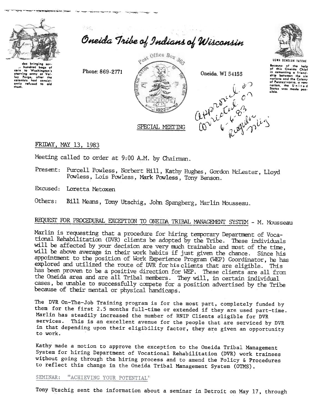

Oneida Tribe of Indians of Wisconsin

das bringing sev hundred bags of corn to Washington's ley Forge, after the

Phone: 869-2771





UGWA DEHOLUN YATENE Socause of the help<br>of this Oneida Chief<br>in cementing a friend-<br>ship between the six nations and the Colony nations and the Colony<br>of Pennsylvania, a new<br>nation, the United<br>States was made possible.

FRIDAY, MAY 13, 1983

Meeting called to order at 9:00 A.M. by Chairman.

Present: Purcell Powless, Norbert Hill, Kathy Hughes, Gordon McLester, Lloyd Powless, Lois Powless, Mark Powless, Tony Benson.

Excused: Loretta Metoxen

Bill Means, Tony Utschig, John Spangberg, Marlin Mousseau. Others:

# REQUEST FOR PROCEDURAL EXCEPTION TO ONEIDA TRIBAL MANAGEMENT SYSTEM - M. Mousseau

Marlin is requesting that a procedure for hiring temporary Department of Vocational Rehabilitation (DVR) clients be adopted by the Tribe. These individuals will be affected by your decision are very much trainable and most of the time, will be above average in their work habits if just given the chance. Since his appointment to the position of Work Experience Program (WEP) Coordinator, he has explored and utilized the route of DVR for his clients that are eligible. This has been proven to be a positive direction for WEP. These clients are all from the Oneida area and are all Tribal members. They will, in certain individual cases, be unable to successfully compete for a position advertised by the Tribe because of their mental or physical handicaps.

The DVR On-The-Job Training program is for the most part, completely funded by them for the first 2.5 months full-time or extended if they are used part-time. Marlin has steadily increased the number of RNIP Clients eligible for DVR services. This is an excellent avenue for the people that are serviced by DVR in that depending upon their eligibility factor, they are given an opportunity to work.

Kathy made a motion to approve the exception to the Oneida Tribal Management System for hiring Department of Vocational Rehabilitation (DVR) work trainees without going through the hiring process and to amend the Policy & Procedures to reflect this change in the Oneida Tribal Management System (OTMS).

SEMINAR: "ACHIEVING YOUR POTENTIAL"

Tony Utschig sent the information about a seminar in Detroit on May 17, through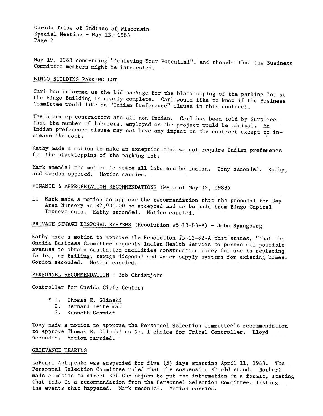Oneida Tribe of Indians of Wisconsin Special Meeting - May  $13, 1983$ Page 2

May 19, 1983 concerning "Achieving Your Potential", and thought that the Business Committee members might be interested.

## BINGO BUILDING PARKING LOT

Carl has informed us the bid package for the blacktopping of the parking lot at the Bingo Building is nearly complete. Carl would like to know if the Business Committee would like an "Indian Preference'! clause in this contract.

The blacktop contractors are all non-Indian. Carl has been told by Surplice that the number of laborers, employed on the project would be minimal. An Indian preference clause may not have any impact on the contract except to increase the cost.

Kathy made a motion to make an exception that we not require Indian preference for the blacktopping of the parking lot.

Mark amended the motion to state all laborers be Indian. Tony second and Gordon opposed. Motion carried.

# FINANCE & APPROPRIATION RECOMMENDATIONS (Memo of May 12, 1983)

Mark made a motion to approve the recommendation that the proposal for Bay  $1.$ Area Nursery at \$2,900.00 be accepted and to be paid from Bingo Capital Improvements. Kathy seconded. Motion carried.

# PRIVATE SEWAGE DISPOSAL SYSTEMS (Resolution  $#5-13-83-A$ ) - John Spangberg

Kathy made a motion to approve the Resolution #5-13-82-A that states, "that the Oneida Business Committee requests Indian Health Service to pursue all possible avenues to obtain sanitation facilities construction money for use in replacing failed, or failing, sewage disposal and water supply systems for existing homes. Gordon seconded. Motion carried.

PERSONNEL RECOMMENDATION - Bob Christjohn

Controller for Oneida Civic Center:

- \* 1. Thomas E. Glins
	- 2. Bernard Leiterman
	- 3. Kenneth Schmid

Tony made a motion to approve the Personnel Selection Committee's recommendation to approve Thomas E. Glinski as No. 1 choice for Tribal Controller. Lloyd seconded. Motion carried.

#### GRIEVANCE HEARING

LaPearl Antepenko was suspended for five (5) days starting April 11, 1983. The Personnel Selection Committee ruled that the suspension should stand. Norbert made a motion to direct Bob Christjohn to put the information in a format, stating that this is a recommendation from the Personnel Selection Committee, listing the events that happened. Mark seconded. Motion carried.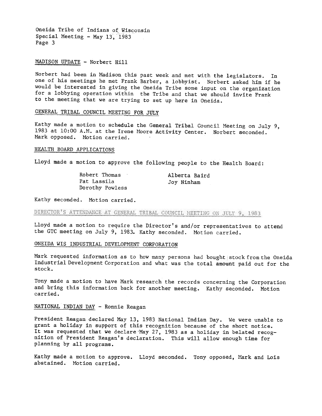Oneida Tribe of Indians of Wisconsin Special Meeting - May  $13'$ , 1983 Page 3

#### MADISON UPDATE - Norbert Hill

Norbert had been in Madison this past week and met with the legislators. In one of his meetings he met Frank Barber, a lobbyist. Norbert asked him if he would be interested in giving the Oneida Tribe some input on the organization for a lobbying operation within the Tribe and that we should invite Frank to the meeting that we are trying to set up here in Oneida.

## GENERAL TRIBAL COUNCIL MEETING FOR JULY-

Kathy made a motion to schedule the General Tribal Council Meeting on July 9, 1983 at 10:00 A.M. at the Irene Moore Activity Center. Norbert seconded. Mark opposed. Motion carried.

## HEALTH BOARD APPLICATIONS

Lloyd made a motion to approve the following people to the Health Board:

Robert Thomas Pat Lassila Dorothy Powless

Alberta Baird Joy Ninham

Kathy seconded. Motion carried.

DIRECTOR'S ATTENDANCE AT GENERAL TRIBAL COUNCIL MEETING ON JULY 9, 1983

Lloyd made a motion to require the Director's and/or representatives to attend the GTC meeting on July 9, 1983. Kathy seconded. Motion carried.

## ONEIDA WIS INDUSTRIAL DEVELOPMENT CORPORATION

Mark requested information as to how many persons had bought stock from the Oneida Industrial Development Corporation and what was the total amount paid out for the stock.

Tony made a motion to have Mark research the records concerning the Corporation and bring this information back for another meeting. Kathy seconded. Motion carried.

### NATIONAL INDIAN DAY - Ronnie Reagan

President Reagan declared May 13,1983 National Indian Day. We were unable to grant a holiday in support of this recognition because of the short notice. It was requested that we declare 'May 27, 1983 as a holiday in belated recognition of President Reagan's declaration. This will allow enough time for planning by all programs.

Kathy made a motion to approve. Lloyd seconded. Tony opposed, Mark and Lois abstained. Motion carried.